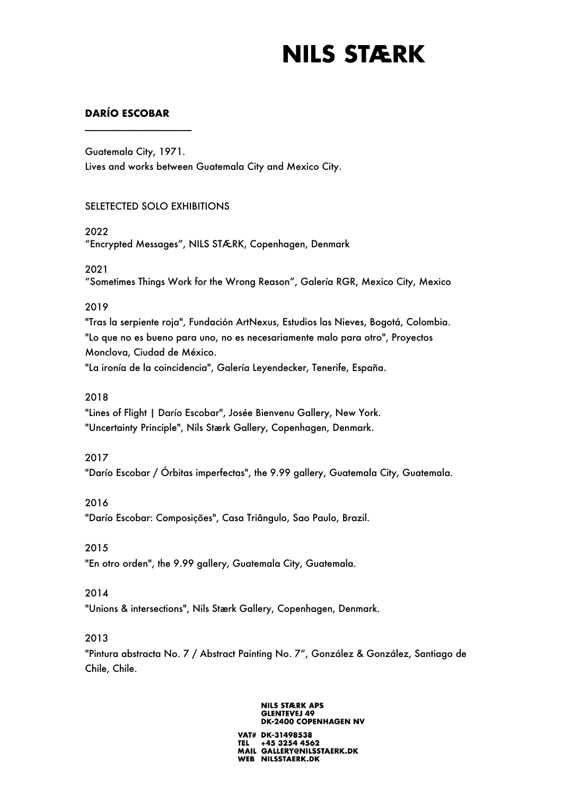# **DARÍO ESCOBAR**

\_\_\_\_\_\_\_\_\_\_\_\_\_\_\_\_\_\_\_\_

Guatemala City, 1971. Lives and works between Guatemala City and Mexico City.

## SELETECTED SOLO EXHIBITIONS

### 2022

"Encrypted Messages", NILS STÆRK, Copenhagen, Denmark

## 2021

"Sometimes Things Work for the Wrong Reason", Galería RGR, Mexico City, Mexico

## 2019

"Tras la serpiente roja", Fundación ArtNexus, Estudios las Nieves, Bogotá, Colombia. "Lo que no es bueno para uno, no es necesariamente malo para otro", Proyectos Monclova, Ciudad de México.

"La ironía de la coincidencia", Galería Leyendecker, Tenerife, España.

## 2018

"Lines of Flight | Darío Escobar", Josée Bienvenu Gallery, New York. "Uncertainty Principle", Nils Stærk Gallery, Copenhagen, Denmark.

### 2017

"Darío Escobar / Órbitas imperfectas", the 9.99 gallery, Guatemala City, Guatemala.

### 2016

"Darío Escobar: Composições", Casa Triângulo, Sao Paulo, Brazil.

## 2015

"En otro orden", the 9.99 gallery, Guatemala City, Guatemala.

## 2014

"Unions & intersections", Nils Stærk Gallery, Copenhagen, Denmark.

## 2013

"Pintura abstracta No. 7 / Abstract Painting No. 7", González & González, Santiago de Chile, Chile.

#### **NILS STÆRK APS GLENTEVEJ 49 DK-2400 COPENHAGEN NV**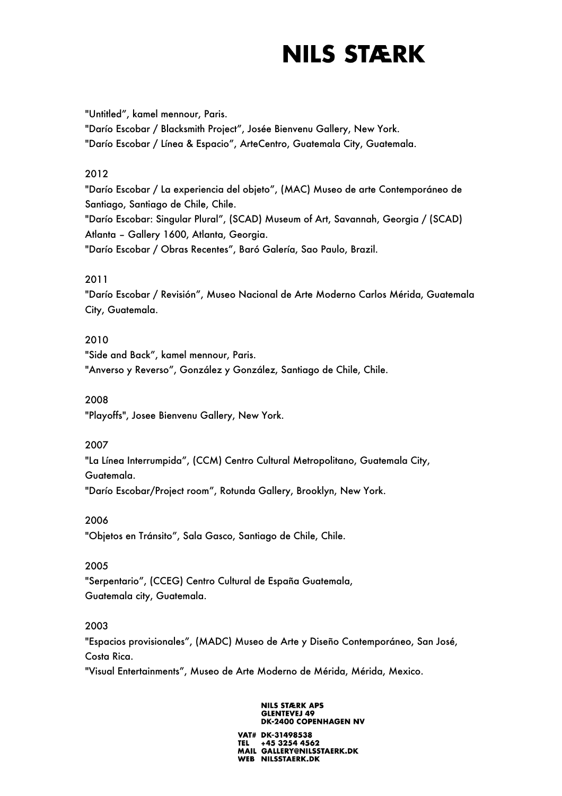"Untitled", kamel mennour, Paris.

"Darío Escobar / Blacksmith Project", Josée Bienvenu Gallery, New York. "Darío Escobar / Línea & Espacio", ArteCentro, Guatemala City, Guatemala.

# 2012

"Darío Escobar / La experiencia del objeto", (MAC) Museo de arte Contemporáneo de Santiago, Santiago de Chile, Chile. "Darío Escobar: Singular Plural", (SCAD) Museum of Art, Savannah, Georgia / (SCAD) Atlanta – Gallery 1600, Atlanta, Georgia. "Darío Escobar / Obras Recentes", Baró Galería, Sao Paulo, Brazil.

# 2011

"Darío Escobar / Revisión", Museo Nacional de Arte Moderno Carlos Mérida, Guatemala City, Guatemala.

# 2010

"Side and Back", kamel mennour, Paris. "Anverso y Reverso", González y González, Santiago de Chile, Chile.

2008

"Playoffs", Josee Bienvenu Gallery, New York.

## 2007

"La Línea Interrumpida", (CCM) Centro Cultural Metropolitano, Guatemala City, Guatemala.

"Darío Escobar/Project room", Rotunda Gallery, Brooklyn, New York.

## 2006

"Objetos en Tránsito", Sala Gasco, Santiago de Chile, Chile.

## 2005

"Serpentario", (CCEG) Centro Cultural de España Guatemala, Guatemala city, Guatemala.

## 2003

"Espacios provisionales", (MADC) Museo de Arte y Diseño Contemporáneo, San José, Costa Rica.

"Visual Entertainments", Museo de Arte Moderno de Mérida, Mérida, Mexico.

#### **NILS STÆRK APS GLENTEVEJ 49 DK-2400 COPENHAGEN NV**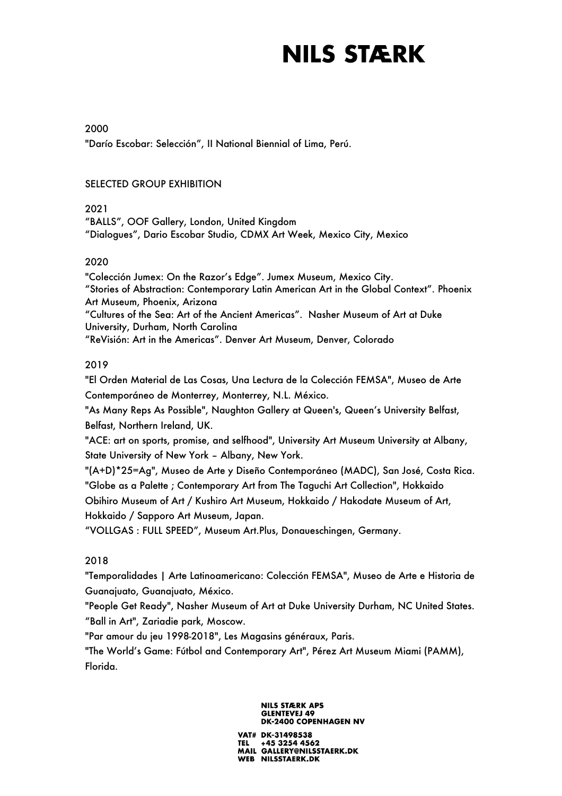2000

"Darío Escobar: Selección", II National Biennial of Lima, Perú.

# SELECTED GROUP EXHIBITION

# 2021

"BALLS", OOF Gallery, London, United Kingdom "Dialogues", Dario Escobar Studio, CDMX Art Week, Mexico City, Mexico

# 2020

"Colección Jumex: On the Razor's Edge". Jumex Museum, Mexico City. "Stories of Abstraction: Contemporary Latin American Art in the Global Context". Phoenix Art Museum, Phoenix, Arizona "Cultures of the Sea: Art of the Ancient Americas". Nasher Museum of Art at Duke University, Durham, North Carolina "ReVisión: Art in the Americas". Denver Art Museum, Denver, Colorado

# 2019

"El Orden Material de Las Cosas, Una Lectura de la Colección FEMSA", Museo de Arte Contemporáneo de Monterrey, Monterrey, N.L. México.

"As Many Reps As Possible", Naughton Gallery at Queen's, Queen's University Belfast, Belfast, Northern Ireland, UK.

"ACE: art on sports, promise, and selfhood", University Art Museum University at Albany, State University of New York – Albany, New York.

"(A+D)\*25=Ag", Museo de Arte y Diseño Contemporáneo (MADC), San José, Costa Rica. "Globe as a Palette ; Contemporary Art from The Taguchi Art Collection", Hokkaido Obihiro Museum of Art / Kushiro Art Museum, Hokkaido / Hakodate Museum of Art, Hokkaido / Sapporo Art Museum, Japan.

"VOLLGAS : FULL SPEED", Museum Art.Plus, Donaueschingen, Germany.

# 2018

"Temporalidades | Arte Latinoamericano: Colección FEMSA", Museo de Arte e Historia de Guanajuato, Guanajuato, México.

"People Get Ready", Nasher Museum of Art at Duke University Durham, NC United States. "Ball in Art", Zariadie park, Moscow.

"Par amour du jeu 1998-2018", Les Magasins généraux, Paris.

"The World's Game: Fútbol and Contemporary Art", Pérez Art Museum Miami (PAMM), Florida.

#### **NILS STÆRK APS GLENTEVEJ 49 DK-2400 COPENHAGEN NV**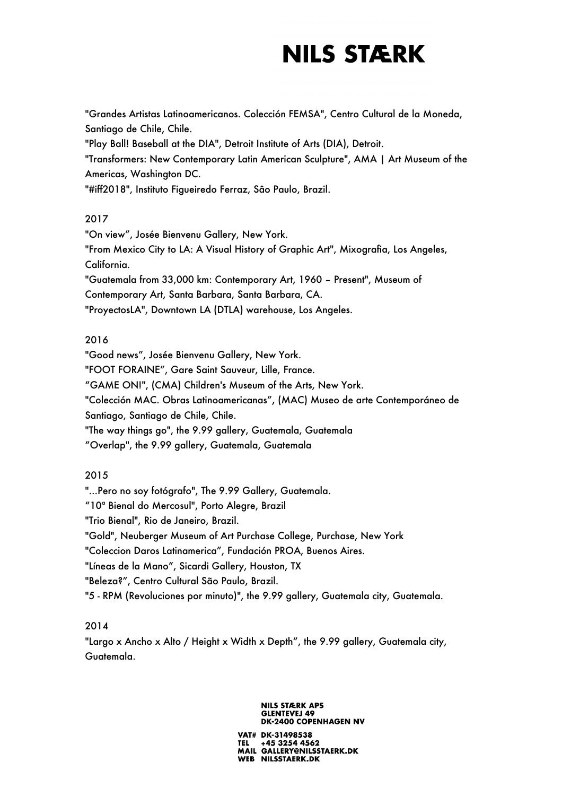"Grandes Artistas Latinoamericanos. Colección FEMSA", Centro Cultural de la Moneda, Santiago de Chile, Chile. "Play Ball! Baseball at the DIA", Detroit Institute of Arts (DIA), Detroit. "Transformers: New Contemporary Latin American Sculpture", AMA | Art Museum of the Americas, Washington DC. "#iff2018", Instituto Figueiredo Ferraz, Sâo Paulo, Brazil.

## 2017

"On view", Josée Bienvenu Gallery, New York. "From Mexico City to LA: A Visual History of Graphic Art", Mixografia, Los Angeles, California. "Guatemala from 33,000 km: Contemporary Art, 1960 – Present", Museum of Contemporary Art, Santa Barbara, Santa Barbara, CA. "ProyectosLA", Downtown LA (DTLA) warehouse, Los Angeles.

# 2016

"Good news", Josée Bienvenu Gallery, New York. "FOOT FORAINE", Gare Saint Sauveur, Lille, France. "GAME ON!", (CMA) Children's Museum of the Arts, New York. "Colección MAC. Obras Latinoamericanas", (MAC) Museo de arte Contemporáneo de Santiago, Santiago de Chile, Chile. "The way things go", the 9.99 gallery, Guatemala, Guatemala "Overlap", the 9.99 gallery, Guatemala, Guatemala

# 2015

"...Pero no soy fotógrafo", The 9.99 Gallery, Guatemala. "10ª Bienal do Mercosul", Porto Alegre, Brazil "Trio Bienal", Rio de Janeiro, Brazil. "Gold", Neuberger Museum of Art Purchase College, Purchase, New York "Coleccion Daros Latinamerica", Fundación PROA, Buenos Aires. "Líneas de la Mano", Sicardi Gallery, Houston, TX "Beleza?", Centro Cultural São Paulo, Brazil. "5 - RPM (Revoluciones por minuto)", the 9.99 gallery, Guatemala city, Guatemala.

# 2014

"Largo x Ancho x Alto / Height x Width x Depth", the 9.99 gallery, Guatemala city, Guatemala.

#### **NILS STÆRK APS GLENTEVEJ 49 DK-2400 COPENHAGEN NV**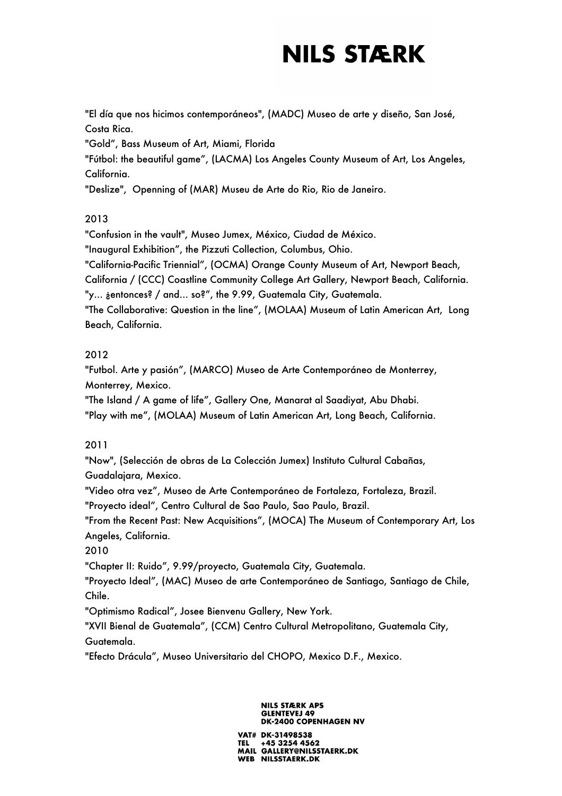"El día que nos hicimos contemporáneos", (MADC) Museo de arte y diseño, San José, Costa Rica.

"Gold", Bass Museum of Art, Miami, Florida

"Fútbol: the beautiful game", (LACMA) Los Angeles County Museum of Art, Los Angeles, California.

"Deslize", Openning of (MAR) Museu de Arte do Rio, Rio de Janeiro.

# 2013

"Confusion in the vault", Museo Jumex, México, Ciudad de México.

"Inaugural Exhibition", the Pizzuti Collection, Columbus, Ohio.

"California-Pacific Triennial", (OCMA) Orange County Museum of Art, Newport Beach,

California / (CCC) Coastline Community College Art Gallery, Newport Beach, California. "y... ¿entonces? / and... so?", the 9.99, Guatemala City, Guatemala.

"The Collaborative: Question in the line", (MOLAA) Museum of Latin American Art, Long Beach, California.

# 2012

"Futbol. Arte y pasión", (MARCO) Museo de Arte Contemporáneo de Monterrey, Monterrey, Mexico.

"The Island / A game of life", Gallery One, Manarat al Saadiyat, Abu Dhabi.

"Play with me", (MOLAA) Museum of Latin American Art, Long Beach, California.

# 2011

"Now", (Selección de obras de La Colección Jumex) Instituto Cultural Cabañas, Guadalajara, Mexico.

"Video otra vez", Museo de Arte Contemporáneo de Fortaleza, Fortaleza, Brazil.

"Proyecto ideal", Centro Cultural de Sao Paulo, Sao Paulo, Brazil.

"From the Recent Past: New Acquisitions", (MOCA) The Museum of Contemporary Art, Los Angeles, California.

2010

"Chapter II: Ruido", 9.99/proyecto, Guatemala City, Guatemala.

"Proyecto Ideal", (MAC) Museo de arte Contemporáneo de Santiago, Santiago de Chile, Chile.

"Optimismo Radical", Josee Bienvenu Gallery, New York.

"XVII Bienal de Guatemala", (CCM) Centro Cultural Metropolitano, Guatemala City, Guatemala.

"Efecto Drácula", Museo Universitario del CHOPO, Mexico D.F., Mexico.

#### **NILS STÆRK APS GLENTEVEJ 49 DK-2400 COPENHAGEN NV**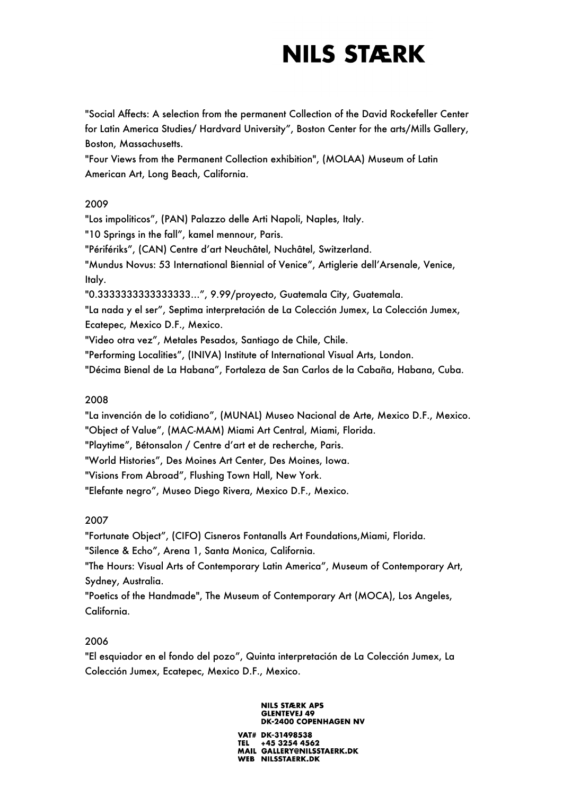"Social Affects: A selection from the permanent Collection of the David Rockefeller Center for Latin America Studies/ Hardvard University", Boston Center for the arts/Mills Gallery, Boston, Massachusetts.

"Four Views from the Permanent Collection exhibition", (MOLAA) Museum of Latin American Art, Long Beach, California.

# 2009

"Los impoliticos", (PAN) Palazzo delle Arti Napoli, Naples, Italy. "10 Springs in the fall", kamel mennour, Paris. "Périfériks", (CAN) Centre d'art Neuchâtel, Nuchâtel, Switzerland. "Mundus Novus: 53 International Biennial of Venice", Artiglerie dell'Arsenale, Venice, Italy. "0.3333333333333333…", 9.99/proyecto, Guatemala City, Guatemala. "La nada y el ser", Septima interpretación de La Colección Jumex, La Colección Jumex, Ecatepec, Mexico D.F., Mexico.

"Video otra vez", Metales Pesados, Santiago de Chile, Chile.

"Performing Localities", (INIVA) Institute of International Visual Arts, London.

"Décima Bienal de La Habana", Fortaleza de San Carlos de la Cabaña, Habana, Cuba.

# 2008

"La invención de lo cotidiano", (MUNAL) Museo Nacional de Arte, Mexico D.F., Mexico. "Object of Value", (MAC-MAM) Miami Art Central, Miami, Florida.

"Playtime", Bétonsalon / Centre d'art et de recherche, Paris.

"World Histories", Des Moines Art Center, Des Moines, Iowa.

"Visions From Abroad", Flushing Town Hall, New York.

"Elefante negro", Museo Diego Rivera, Mexico D.F., Mexico.

# 2007

"Fortunate Object", (CIFO) Cisneros Fontanalls Art Foundations,Miami, Florida. "Silence & Echo", Arena 1, Santa Monica, California. "The Hours: Visual Arts of Contemporary Latin America", Museum of Contemporary Art, Sydney, Australia. "Poetics of the Handmade", The Museum of Contemporary Art (MOCA), Los Angeles, California.

## 2006

"El esquiador en el fondo del pozo", Quinta interpretación de La Colección Jumex, La Colección Jumex, Ecatepec, Mexico D.F., Mexico.

#### **NILS STÆRK APS GLENTEVEJ 49 DK-2400 COPENHAGEN NV**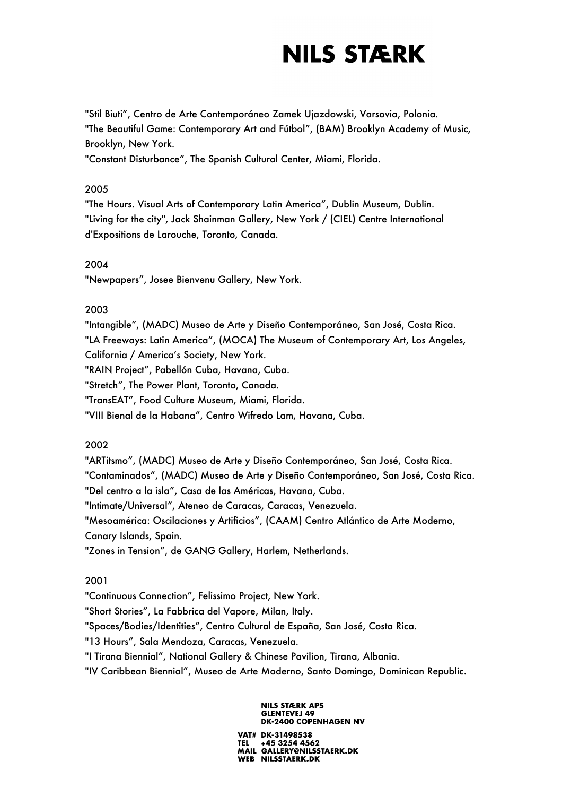"Stil Biuti", Centro de Arte Contemporáneo Zamek Ujazdowski, Varsovia, Polonia. "The Beautiful Game: Contemporary Art and Fútbol", (BAM) Brooklyn Academy of Music, Brooklyn, New York.

"Constant Disturbance", The Spanish Cultural Center, Miami, Florida.

## 2005

"The Hours. Visual Arts of Contemporary Latin America", Dublin Museum, Dublin. "Living for the city", Jack Shainman Gallery, New York / (CIEL) Centre International d'Expositions de Larouche, Toronto, Canada.

## 2004

"Newpapers", Josee Bienvenu Gallery, New York.

## 2003

"Intangible", (MADC) Museo de Arte y Diseño Contemporáneo, San José, Costa Rica. "LA Freeways: Latin America", (MOCA) The Museum of Contemporary Art, Los Angeles, California / America's Society, New York. "RAIN Project", Pabellón Cuba, Havana, Cuba. "Stretch", The Power Plant, Toronto, Canada.

"TransEAT", Food Culture Museum, Miami, Florida.

"VIII Bienal de la Habana", Centro Wifredo Lam, Havana, Cuba.

## 2002

"ARTitsmo", (MADC) Museo de Arte y Diseño Contemporáneo, San José, Costa Rica. "Contaminados", (MADC) Museo de Arte y Diseño Contemporáneo, San José, Costa Rica. "Del centro a la isla", Casa de las Américas, Havana, Cuba. "Intimate/Universal", Ateneo de Caracas, Caracas, Venezuela. "Mesoamérica: Oscilaciones y Artificios", (CAAM) Centro Atlántico de Arte Moderno, Canary Islands, Spain. "Zones in Tension", de GANG Gallery, Harlem, Netherlands.

## 2001

"Continuous Connection", Felissimo Project, New York. "Short Stories", La Fabbrica del Vapore, Milan, Italy. "Spaces/Bodies/Identities", Centro Cultural de España, San José, Costa Rica. "13 Hours", Sala Mendoza, Caracas, Venezuela. "I Tirana Biennial", National Gallery & Chinese Pavilion, Tirana, Albania. "IV Caribbean Biennial", Museo de Arte Moderno, Santo Domingo, Dominican Republic.

#### **NILS STÆRK APS GLENTEVEJ 49 DK-2400 COPENHAGEN NV**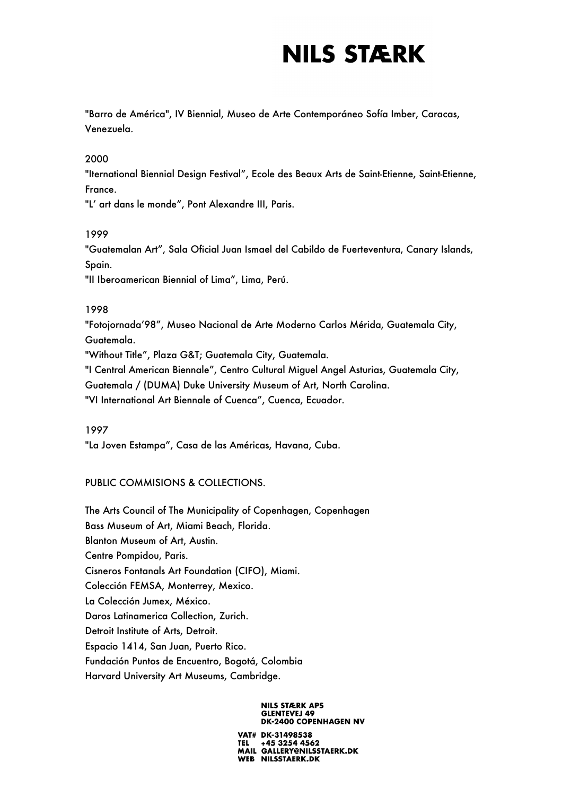"Barro de América", IV Biennial, Museo de Arte Contemporáneo Sofía Imber, Caracas, Venezuela.

## 2000

"Iternational Biennial Design Festival", Ecole des Beaux Arts de Saint-Etienne, Saint-Etienne, France.

"L' art dans le monde", Pont Alexandre III, Paris.

## 1999

"Guatemalan Art", Sala Oficial Juan Ismael del Cabildo de Fuerteventura, Canary Islands, Spain.

"II Iberoamerican Biennial of Lima", Lima, Perú.

## 1998

"Fotojornada'98", Museo Nacional de Arte Moderno Carlos Mérida, Guatemala City, Guatemala.

"Without Title", Plaza G&T; Guatemala City, Guatemala.

"I Central American Biennale", Centro Cultural Miguel Angel Asturias, Guatemala City,

Guatemala / (DUMA) Duke University Museum of Art, North Carolina.

"VI International Art Biennale of Cuenca", Cuenca, Ecuador.

### 1997

"La Joven Estampa", Casa de las Américas, Havana, Cuba.

## PUBLIC COMMISIONS & COLLECTIONS.

The Arts Council of The Municipality of Copenhagen, Copenhagen Bass Museum of Art, Miami Beach, Florida. Blanton Museum of Art, Austin. Centre Pompidou, Paris. Cisneros Fontanals Art Foundation (CIFO), Miami. Colección FEMSA, Monterrey, Mexico. La Colección Jumex, México. Daros Latinamerica Collection, Zurich. Detroit Institute of Arts, Detroit. Espacio 1414, San Juan, Puerto Rico. Fundación Puntos de Encuentro, Bogotá, Colombia Harvard University Art Museums, Cambridge.

#### **NILS STÆRK APS GLENTEVEJ 49 DK-2400 COPENHAGEN NV**